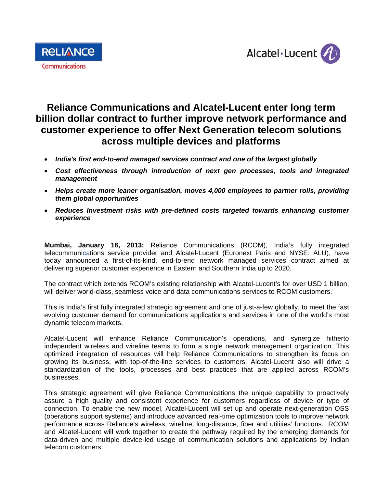



# **Reliance Communications and Alcatel-Lucent enter long term billion dollar contract to further improve network performance and customer experience to offer Next Generation telecom solutions across multiple devices and platforms**

- *India's first end-to-end managed services contract and one of the largest globally*
- *Cost effectiveness through introduction of next gen processes, tools and integrated management*
- *Helps create more leaner organisation, moves 4,000 employees to partner rolls, providing them global opportunities*
- *Reduces Investment risks with pre-defined costs targeted towards enhancing customer experience*

**Mumbai, January 16, 2013:** Reliance Communications (RCOM), India's fully integrated telecommunications service provider and Alcatel-Lucent (Euronext Paris and NYSE: ALU), have today announced a first-of-its-kind, end-to-end network managed services contract aimed at delivering superior customer experience in Eastern and Southern India up to 2020.

The contract which extends RCOM's existing relationship with Alcatel-Lucent's for over USD 1 billion, will deliver world-class, seamless voice and data communications services to RCOM customers.

This is India's first fully integrated strategic agreement and one of just-a-few globally, to meet the fast evolving customer demand for communications applications and services in one of the world's most dynamic telecom markets.

Alcatel-Lucent will enhance Reliance Communication's operations, and synergize hitherto independent wireless and wireline teams to form a single network management organization. This optimized integration of resources will help Reliance Communications to strengthen its focus on growing its business, with top-of-the-line services to customers. Alcatel-Lucent also will drive a standardization of the tools, processes and best practices that are applied across RCOM's businesses.

This strategic agreement will give Reliance Communications the unique capability to proactively assure a high quality and consistent experience for customers regardless of device or type of connection. To enable the new model, Alcatel-Lucent will set up and operate next-generation OSS (operations support systems) and introduce advanced real-time optimization tools to improve network performance across Reliance's wireless, wireline, long-distance, fiber and utilities' functions. RCOM and Alcatel-Lucent will work together to create the pathway required by the emerging demands for data-driven and multiple device-led usage of communication solutions and applications by Indian telecom customers.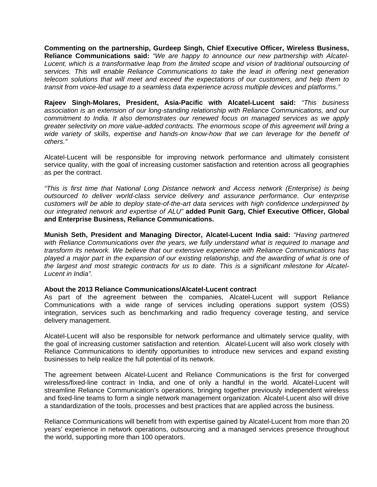**Commenting on the partnership, Gurdeep Singh, Chief Executive Officer, Wireless Business, Reliance Communications said:** *"We are happy to announce our new partnership with Alcatel-Lucent, which is a transformative leap from the limited scope and vision of traditional outsourcing of services. This will enable Reliance Communications to take the lead in offering next generation telecom solutions that will meet and exceed the expectations of our customers, and help them to transit from voice-led usage to a seamless data experience across multiple devices and platforms."* 

**Rajeev Singh-Molares, President, Asia-Pacific with Alcatel-Lucent said:** *"This business association is an extension of our long-standing relationship with Reliance Communications, and our commitment to India. It also demonstrates our renewed focus on managed services as we apply greater selectivity on more value-added contracts. The enormous scope of this agreement will bring a wide variety of skills, expertise and hands-on know-how that we can leverage for the benefit of others."* 

Alcatel-Lucent will be responsible for improving network performance and ultimately consistent service quality, with the goal of increasing customer satisfaction and retention across all geographies as per the contract.

*"This is first time that National Long Distance network and Access network (Enterprise) is being outsourced to deliver world-class service delivery and assurance performance. Our enterprise customers will be able to deploy state-of-the-art data services with high confidence underpinned by our integrated network and expertise of ALU"* **added Punit Garg, Chief Executive Officer, Global and Enterprise Business, Reliance Communications.**

**Munish Seth, President and Managing Director, Alcatel-Lucent India said:** *"Having partnered with Reliance Communications over the years, we fully understand what is required to manage and transform its network. We believe that our extensive experience with Reliance Communications has played a major part in the expansion of our existing relationship, and the awarding of what is one of the largest and most strategic contracts for us to date. This is a significant milestone for Alcatel-Lucent in India".*

## **About the 2013 Reliance Communications/Alcatel-Lucent contract**

As part of the agreement between the companies, Alcatel-Lucent will support Reliance Communications with a wide range of services including operations support system (OSS) integration, services such as benchmarking and radio frequency coverage testing, and service delivery management.

Alcatel-Lucent will also be responsible for network performance and ultimately service quality, with the goal of increasing customer satisfaction and retention. Alcatel-Lucent will also work closely with Reliance Communications to identify opportunities to introduce new services and expand existing businesses to help realize the full potential of its network.

The agreement between Alcatel-Lucent and Reliance Communications is the first for converged wireless/fixed-line contract in India, and one of only a handful in the world. Alcatel-Lucent will streamline Reliance Communication's operations, bringing together previously independent wireless and fixed-line teams to form a single network management organization. Alcatel-Lucent also will drive a standardization of the tools, processes and best practices that are applied across the business.

Reliance Communications will benefit from with expertise gained by Alcatel-Lucent from more than 20 years' experience in network operations, outsourcing and a managed services presence throughout the world, supporting more than 100 operators.